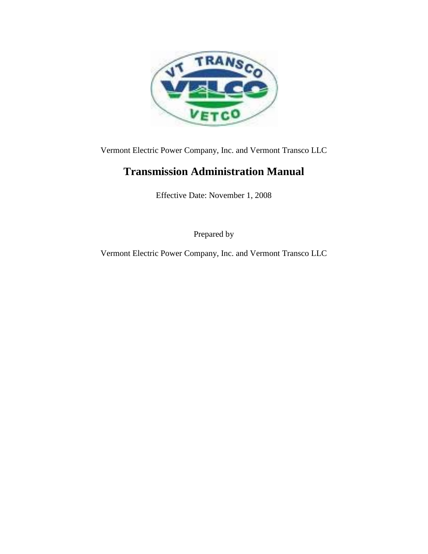

Vermont Electric Power Company, Inc. and Vermont Transco LLC

## **Transmission Administration Manual**

Effective Date: November 1, 2008

Prepared by

Vermont Electric Power Company, Inc. and Vermont Transco LLC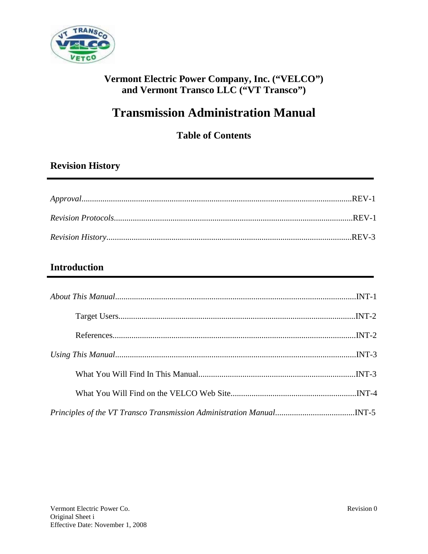

## **Vermont Electric Power Company, Inc. ("VELCO") and Vermont Transco LLC ("VT Transco")**

# **Transmission Administration Manual**

**Table of Contents**

## **Revision History**

## **Introduction**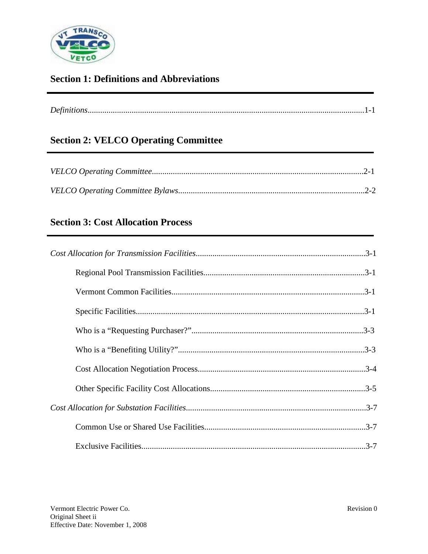

## **Section 1: Definitions and Abbreviations**

| $\mathbf{r}$ $\alpha$ |
|-----------------------|

## **Section 2: VELCO Operating Committee**

## **Section 3: Cost Allocation Process**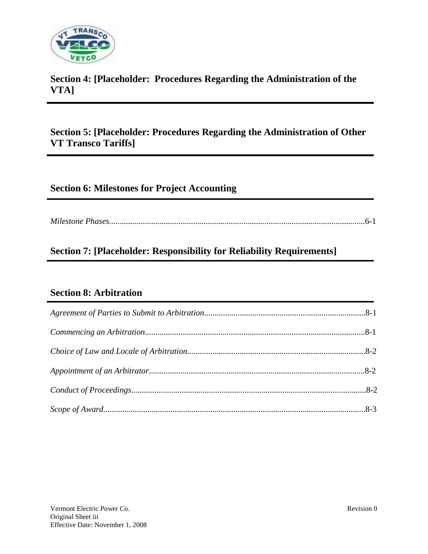

## **Section 4: [Placeholder: Procedures Regarding the Administration of the VTA]**

## **Section 5: [Placeholder: Procedures Regarding the Administration of Other VT Transco Tariffs]**

## **Section 6: Milestones for Project Accounting**

*Milestone Phases*..........................................................................................................................6-1

## **Section 7: [Placeholder: Responsibility for Reliability Requirements]**

## **Section 8: Arbitration**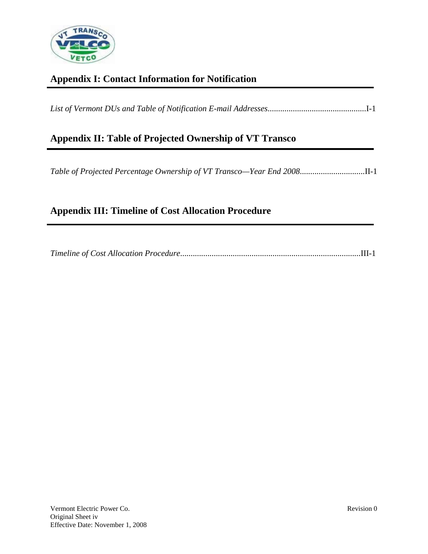

## **Appendix I: Contact Information for Notification**

| Appendix II: Table of Projected Ownership of VT Transco |  |
|---------------------------------------------------------|--|
|                                                         |  |

## **Appendix III: Timeline of Cost Allocation Procedure**

|--|--|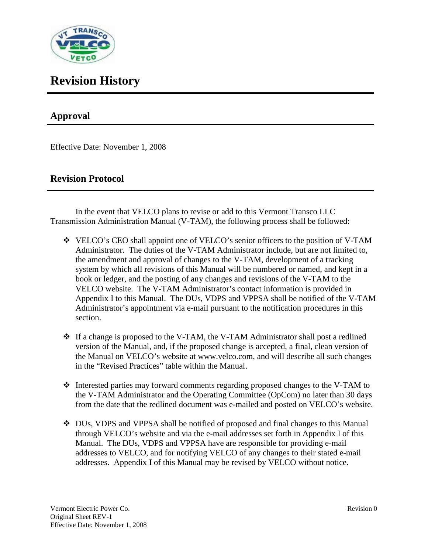

## **Revision History**

## **Approval**

Effective Date: November 1, 2008

## **Revision Protocol**

In the event that VELCO plans to revise or add to this Vermont Transco LLC Transmission Administration Manual (V-TAM), the following process shall be followed:

- VELCO's CEO shall appoint one of VELCO's senior officers to the position of V-TAM Administrator. The duties of the V-TAM Administrator include, but are not limited to, the amendment and approval of changes to the V-TAM, development of a tracking system by which all revisions of this Manual will be numbered or named, and kept in a book or ledger, and the posting of any changes and revisions of the V-TAM to the VELCO website. The V-TAM Administrator's contact information is provided in Appendix I to this Manual. The DUs, VDPS and VPPSA shall be notified of the V-TAM Administrator's appointment via e-mail pursuant to the notification procedures in this section.
- $\div$  If a change is proposed to the V-TAM, the V-TAM Administrator shall post a redlined version of the Manual, and, if the proposed change is accepted, a final, clean version of the Manual on VELCO's website at www.velco.com, and will describe all such changes in the "Revised Practices" table within the Manual.
- $\div$  Interested parties may forward comments regarding proposed changes to the V-TAM to the V-TAM Administrator and the Operating Committee (OpCom) no later than 30 days from the date that the redlined document was e-mailed and posted on VELCO's website.
- DUs, VDPS and VPPSA shall be notified of proposed and final changes to this Manual through VELCO's website and via the e-mail addresses set forth in Appendix I of this Manual. The DUs, VDPS and VPPSA have are responsible for providing e-mail addresses to VELCO, and for notifying VELCO of any changes to their stated e-mail addresses. Appendix I of this Manual may be revised by VELCO without notice.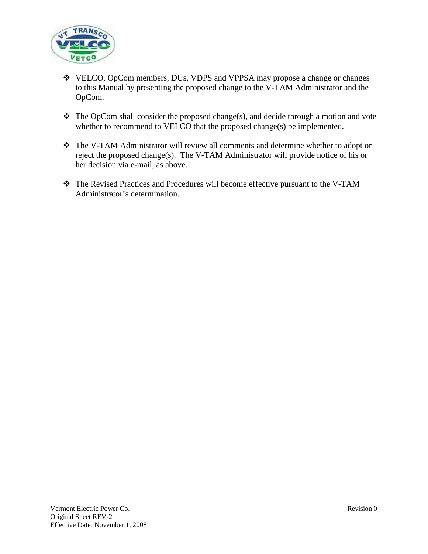

- VELCO, OpCom members, DUs, VDPS and VPPSA may propose a change or changes to this Manual by presenting the proposed change to the V-TAM Administrator and the OpCom.
- $\triangle$  The OpCom shall consider the proposed change(s), and decide through a motion and vote whether to recommend to VELCO that the proposed change(s) be implemented.
- The V-TAM Administrator will review all comments and determine whether to adopt or reject the proposed change(s). The V-TAM Administrator will provide notice of his or her decision via e-mail, as above.
- The Revised Practices and Procedures will become effective pursuant to the V-TAM Administrator's determination.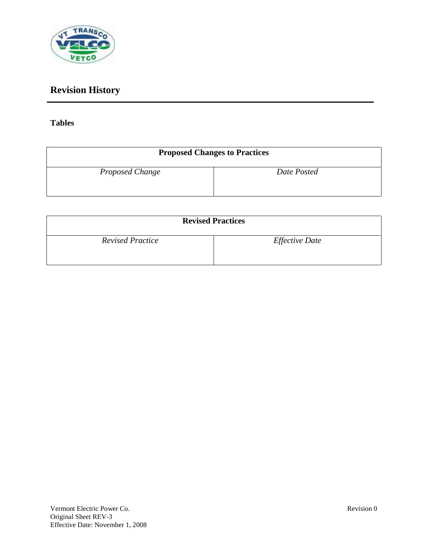

## **Revision History**

## **Tables**

|                 | <b>Proposed Changes to Practices</b> |
|-----------------|--------------------------------------|
| Proposed Change | Date Posted                          |

| <b>Revised Practices</b> |                       |
|--------------------------|-----------------------|
| <b>Revised Practice</b>  | <i>Effective Date</i> |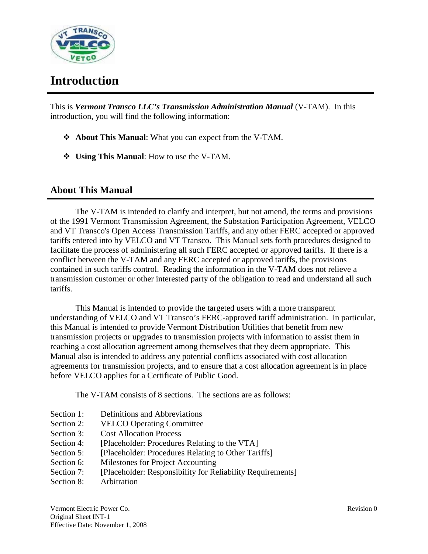

## **Introduction**

This is *Vermont Transco LLC's Transmission Administration Manual* (V-TAM). In this introduction, you will find the following information:

- **About This Manual**: What you can expect from the V-TAM.
- **Using This Manual**: How to use the V-TAM.

## **About This Manual**

The V-TAM is intended to clarify and interpret, but not amend, the terms and provisions of the 1991 Vermont Transmission Agreement, the Substation Participation Agreement, VELCO and VT Transco's Open Access Transmission Tariffs, and any other FERC accepted or approved tariffs entered into by VELCO and VT Transco. This Manual sets forth procedures designed to facilitate the process of administering all such FERC accepted or approved tariffs. If there is a conflict between the V-TAM and any FERC accepted or approved tariffs, the provisions contained in such tariffs control. Reading the information in the V-TAM does not relieve a transmission customer or other interested party of the obligation to read and understand all such tariffs.

This Manual is intended to provide the targeted users with a more transparent understanding of VELCO and VT Transco's FERC-approved tariff administration. In particular, this Manual is intended to provide Vermont Distribution Utilities that benefit from new transmission projects or upgrades to transmission projects with information to assist them in reaching a cost allocation agreement among themselves that they deem appropriate. This Manual also is intended to address any potential conflicts associated with cost allocation agreements for transmission projects, and to ensure that a cost allocation agreement is in place before VELCO applies for a Certificate of Public Good.

The V-TAM consists of 8 sections. The sections are as follows:

- Section 1: Definitions and Abbreviations
- Section 2: VELCO Operating Committee
- Section 3: Cost Allocation Process
- Section 4: [Placeholder: Procedures Relating to the VTA]
- Section 5: [Placeholder: Procedures Relating to Other Tariffs]
- Section 6: Milestones for Project Accounting
- Section 7: [Placeholder: Responsibility for Reliability Requirements]
- Section 8: Arbitration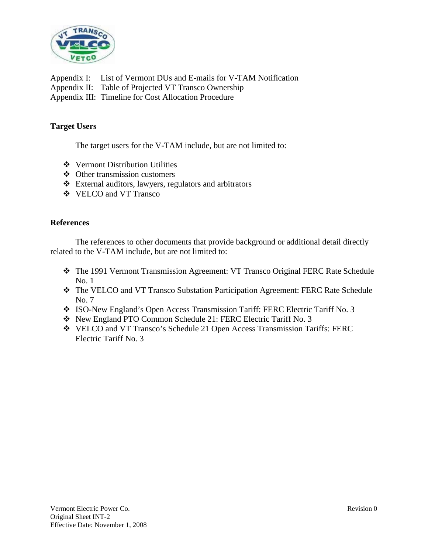

Appendix I: List of Vermont DUs and E-mails for V-TAM Notification Appendix II: Table of Projected VT Transco Ownership Appendix III: Timeline for Cost Allocation Procedure

#### **Target Users**

The target users for the V-TAM include, but are not limited to:

- Vermont Distribution Utilities
- Other transmission customers
- External auditors, lawyers, regulators and arbitrators
- VELCO and VT Transco

#### **References**

The references to other documents that provide background or additional detail directly related to the V-TAM include, but are not limited to:

- The 1991 Vermont Transmission Agreement: VT Transco Original FERC Rate Schedule No. 1
- The VELCO and VT Transco Substation Participation Agreement: FERC Rate Schedule No. 7
- ISO-New England's Open Access Transmission Tariff: FERC Electric Tariff No. 3
- New England PTO Common Schedule 21: FERC Electric Tariff No. 3
- VELCO and VT Transco's Schedule 21 Open Access Transmission Tariffs: FERC Electric Tariff No. 3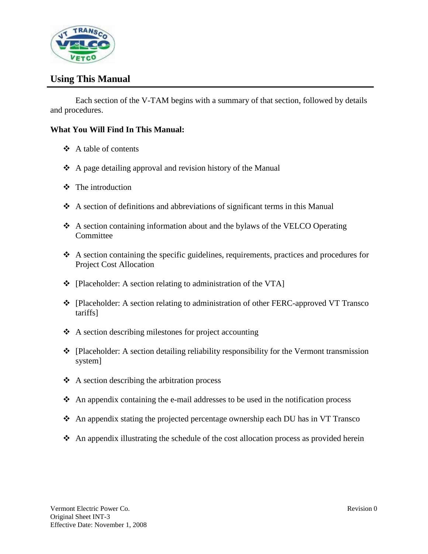

## **Using This Manual**

Each section of the V-TAM begins with a summary of that section, followed by details and procedures.

### **What You Will Find In This Manual:**

- $\triangle$  A table of contents
- $\triangle$  A page detailing approval and revision history of the Manual
- $\div$  The introduction
- A section of definitions and abbreviations of significant terms in this Manual
- A section containing information about and the bylaws of the VELCO Operating **Committee**
- $\triangle$  A section containing the specific guidelines, requirements, practices and procedures for Project Cost Allocation
- $\bullet$  [Placeholder: A section relating to administration of the VTA]
- [Placeholder: A section relating to administration of other FERC-approved VT Transco tariffs]
- $\triangle$  A section describing milestones for project accounting
- [Placeholder: A section detailing reliability responsibility for the Vermont transmission system]
- $\triangle$  A section describing the arbitration process
- $\triangle$  An appendix containing the e-mail addresses to be used in the notification process
- An appendix stating the projected percentage ownership each DU has in VT Transco
- $\triangle$  An appendix illustrating the schedule of the cost allocation process as provided herein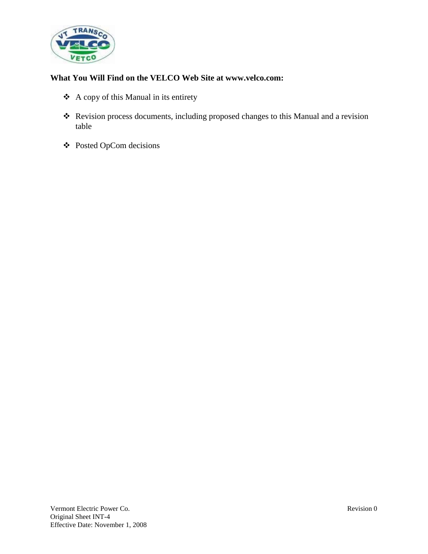

## **What You Will Find on the VELCO Web Site at www.velco.com:**

- A copy of this Manual in its entirety
- \* Revision process documents, including proposed changes to this Manual and a revision table
- Posted OpCom decisions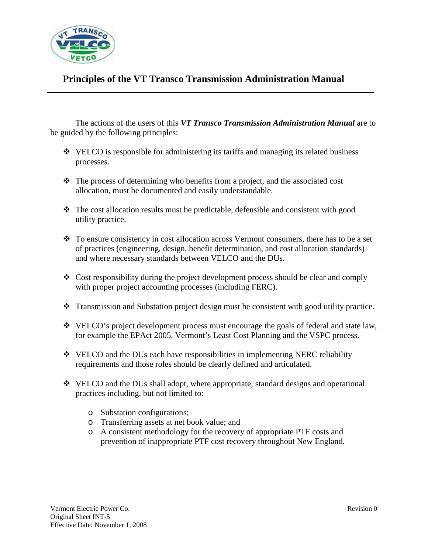

## **Principles of the VT Transco Transmission Administration Manual**

The actions of the users of this *VT Transco Transmission Administration Manual* are to be guided by the following principles:

- VELCO is responsible for administering its tariffs and managing its related business processes.
- $\triangle$  The process of determining who benefits from a project, and the associated cost allocation, must be documented and easily understandable.
- The cost allocation results must be predictable, defensible and consistent with good utility practice.
- \* To ensure consistency in cost allocation across Vermont consumers, there has to be a set of practices (engineering, design, benefit determination, and cost allocation standards) and where necessary standards between VELCO and the DUs.
- $\bullet$  Cost responsibility during the project development process should be clear and comply with proper project accounting processes (including FERC).
- $\cdot \cdot$  Transmission and Substation project design must be consistent with good utility practice.
- \* VELCO's project development process must encourage the goals of federal and state law, for example the EPAct 2005, Vermont's Least Cost Planning and the VSPC process.
- $\cdot$  VELCO and the DUs each have responsibilities in implementing NERC reliability requirements and those roles should be clearly defined and articulated.
- VELCO and the DUs shall adopt, where appropriate, standard designs and operational practices including, but not limited to:
	- o Substation configurations;
	- o Transferring assets at net book value; and
	- o A consistent methodology for the recovery of appropriate PTF costs and prevention of inappropriate PTF cost recovery throughout New England.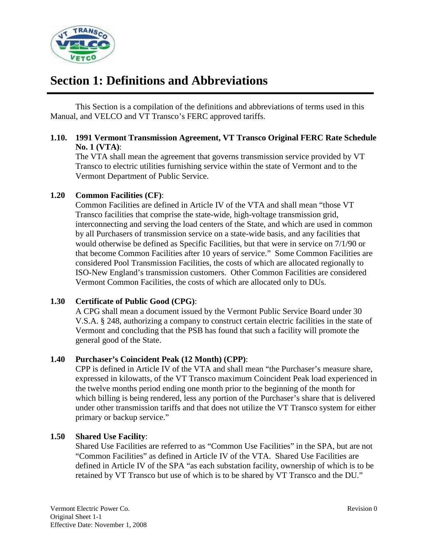

# **Section 1: Definitions and Abbreviations**

This Section is a compilation of the definitions and abbreviations of terms used in this Manual, and VELCO and VT Transco's FERC approved tariffs.

### **1.10. 1991 Vermont Transmission Agreement, VT Transco Original FERC Rate Schedule No. 1 (VTA)**:

The VTA shall mean the agreement that governs transmission service provided by VT Transco to electric utilities furnishing service within the state of Vermont and to the Vermont Department of Public Service.

## **1.20 Common Facilities (CF)**:

Common Facilities are defined in Article IV of the VTA and shall mean "those VT Transco facilities that comprise the state-wide, high-voltage transmission grid, interconnecting and serving the load centers of the State, and which are used in common by all Purchasers of transmission service on a state-wide basis, and any facilities that would otherwise be defined as Specific Facilities, but that were in service on 7/1/90 or that become Common Facilities after 10 years of service." Some Common Facilities are considered Pool Transmission Facilities, the costs of which are allocated regionally to ISO-New England's transmission customers. Other Common Facilities are considered Vermont Common Facilities, the costs of which are allocated only to DUs.

#### **1.30 Certificate of Public Good (CPG)**:

A CPG shall mean a document issued by the Vermont Public Service Board under 30 V.S.A. § 248, authorizing a company to construct certain electric facilities in the state of Vermont and concluding that the PSB has found that such a facility will promote the general good of the State.

## **1.40 Purchaser's Coincident Peak (12 Month) (CPP)**:

CPP is defined in Article IV of the VTA and shall mean "the Purchaser's measure share, expressed in kilowatts, of the VT Transco maximum Coincident Peak load experienced in the twelve months period ending one month prior to the beginning of the month for which billing is being rendered, less any portion of the Purchaser's share that is delivered under other transmission tariffs and that does not utilize the VT Transco system for either primary or backup service."

## **1.50 Shared Use Facility**:

Shared Use Facilities are referred to as "Common Use Facilities" in the SPA, but are not "Common Facilities" as defined in Article IV of the VTA. Shared Use Facilities are defined in Article IV of the SPA "as each substation facility, ownership of which is to be retained by VT Transco but use of which is to be shared by VT Transco and the DU."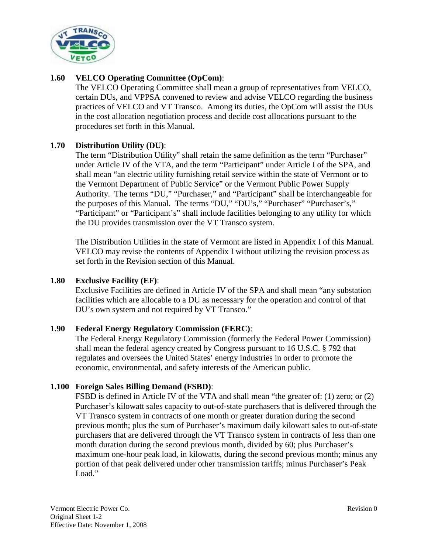

## **1.60 VELCO Operating Committee (OpCom)**:

The VELCO Operating Committee shall mean a group of representatives from VELCO, certain DUs, and VPPSA convened to review and advise VELCO regarding the business practices of VELCO and VT Transco. Among its duties, the OpCom will assist the DUs in the cost allocation negotiation process and decide cost allocations pursuant to the procedures set forth in this Manual.

## **1.70 Distribution Utility (DU)**:

The term "Distribution Utility" shall retain the same definition as the term "Purchaser" under Article IV of the VTA, and the term "Participant" under Article I of the SPA, and shall mean "an electric utility furnishing retail service within the state of Vermont or to the Vermont Department of Public Service" or the Vermont Public Power Supply Authority. The terms "DU," "Purchaser," and "Participant" shall be interchangeable for the purposes of this Manual. The terms "DU," "DU's," "Purchaser" "Purchaser's," "Participant" or "Participant's" shall include facilities belonging to any utility for which the DU provides transmission over the VT Transco system.

The Distribution Utilities in the state of Vermont are listed in Appendix I of this Manual. VELCO may revise the contents of Appendix I without utilizing the revision process as set forth in the Revision section of this Manual.

### **1.80 Exclusive Facility (EF)**:

Exclusive Facilities are defined in Article IV of the SPA and shall mean "any substation facilities which are allocable to a DU as necessary for the operation and control of that DU's own system and not required by VT Transco."

## **1.90 Federal Energy Regulatory Commission (FERC)**:

The Federal Energy Regulatory Commission (formerly the Federal Power Commission) shall mean the federal agency created by Congress pursuant to 16 U.S.C. § 792 that regulates and oversees the United States' energy industries in order to promote the economic, environmental, and safety interests of the American public.

#### **1.100 Foreign Sales Billing Demand (FSBD)**:

FSBD is defined in Article IV of the VTA and shall mean "the greater of: (1) zero; or (2) Purchaser's kilowatt sales capacity to out-of-state purchasers that is delivered through the VT Transco system in contracts of one month or greater duration during the second previous month; plus the sum of Purchaser's maximum daily kilowatt sales to out-of-state purchasers that are delivered through the VT Transco system in contracts of less than one month duration during the second previous month, divided by 60; plus Purchaser's maximum one-hour peak load, in kilowatts, during the second previous month; minus any portion of that peak delivered under other transmission tariffs; minus Purchaser's Peak Load."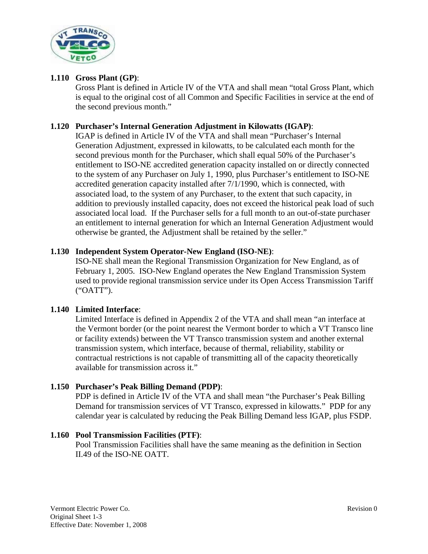

## **1.110 Gross Plant (GP)**:

Gross Plant is defined in Article IV of the VTA and shall mean "total Gross Plant, which is equal to the original cost of all Common and Specific Facilities in service at the end of the second previous month."

### **1.120 Purchaser's Internal Generation Adjustment in Kilowatts (IGAP)**:

IGAP is defined in Article IV of the VTA and shall mean "Purchaser's Internal Generation Adjustment, expressed in kilowatts, to be calculated each month for the second previous month for the Purchaser, which shall equal 50% of the Purchaser's entitlement to ISO-NE accredited generation capacity installed on or directly connected to the system of any Purchaser on July 1, 1990, plus Purchaser's entitlement to ISO-NE accredited generation capacity installed after 7/1/1990, which is connected, with associated load, to the system of any Purchaser, to the extent that such capacity, in addition to previously installed capacity, does not exceed the historical peak load of such associated local load. If the Purchaser sells for a full month to an out-of-state purchaser an entitlement to internal generation for which an Internal Generation Adjustment would otherwise be granted, the Adjustment shall be retained by the seller."

### **1.130 Independent System Operator-New England (ISO-NE)**:

ISO-NE shall mean the Regional Transmission Organization for New England, as of February 1, 2005. ISO-New England operates the New England Transmission System used to provide regional transmission service under its Open Access Transmission Tariff ("OATT").

## **1.140 Limited Interface**:

Limited Interface is defined in Appendix 2 of the VTA and shall mean "an interface at the Vermont border (or the point nearest the Vermont border to which a VT Transco line or facility extends) between the VT Transco transmission system and another external transmission system, which interface, because of thermal, reliability, stability or contractual restrictions is not capable of transmitting all of the capacity theoretically available for transmission across it."

## **1.150 Purchaser's Peak Billing Demand (PDP)**:

PDP is defined in Article IV of the VTA and shall mean "the Purchaser's Peak Billing Demand for transmission services of VT Transco, expressed in kilowatts." PDP for any calendar year is calculated by reducing the Peak Billing Demand less IGAP, plus FSDP.

#### **1.160 Pool Transmission Facilities (PTF)**:

Pool Transmission Facilities shall have the same meaning as the definition in Section II.49 of the ISO-NE OATT.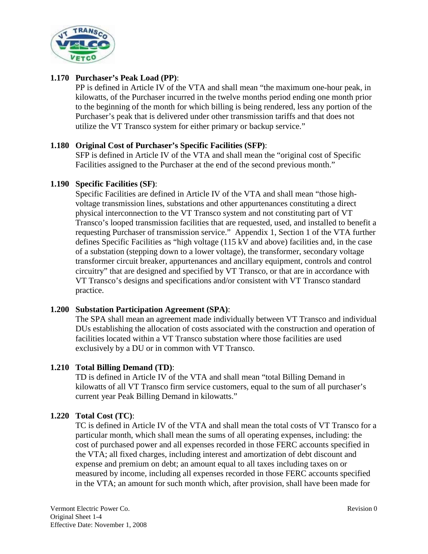

## **1.170 Purchaser's Peak Load (PP)**:

PP is defined in Article IV of the VTA and shall mean "the maximum one-hour peak, in kilowatts, of the Purchaser incurred in the twelve months period ending one month prior to the beginning of the month for which billing is being rendered, less any portion of the Purchaser's peak that is delivered under other transmission tariffs and that does not utilize the VT Transco system for either primary or backup service."

### **1.180 Original Cost of Purchaser's Specific Facilities (SFP)**:

SFP is defined in Article IV of the VTA and shall mean the "original cost of Specific Facilities assigned to the Purchaser at the end of the second previous month."

### **1.190 Specific Facilities (SF)**:

Specific Facilities are defined in Article IV of the VTA and shall mean "those highvoltage transmission lines, substations and other appurtenances constituting a direct physical interconnection to the VT Transco system and not constituting part of VT Transco's looped transmission facilities that are requested, used, and installed to benefit a requesting Purchaser of transmission service." Appendix 1, Section 1 of the VTA further defines Specific Facilities as "high voltage (115 kV and above) facilities and, in the case of a substation (stepping down to a lower voltage), the transformer, secondary voltage transformer circuit breaker, appurtenances and ancillary equipment, controls and control circuitry" that are designed and specified by VT Transco, or that are in accordance with VT Transco's designs and specifications and/or consistent with VT Transco standard practice.

## **1.200 Substation Participation Agreement (SPA)**:

The SPA shall mean an agreement made individually between VT Transco and individual DUs establishing the allocation of costs associated with the construction and operation of facilities located within a VT Transco substation where those facilities are used exclusively by a DU or in common with VT Transco.

#### **1.210 Total Billing Demand (TD)**:

TD is defined in Article IV of the VTA and shall mean "total Billing Demand in kilowatts of all VT Transco firm service customers, equal to the sum of all purchaser's current year Peak Billing Demand in kilowatts."

#### **1.220 Total Cost (TC)**:

TC is defined in Article IV of the VTA and shall mean the total costs of VT Transco for a particular month, which shall mean the sums of all operating expenses, including: the cost of purchased power and all expenses recorded in those FERC accounts specified in the VTA; all fixed charges, including interest and amortization of debt discount and expense and premium on debt; an amount equal to all taxes including taxes on or measured by income, including all expenses recorded in those FERC accounts specified in the VTA; an amount for such month which, after provision, shall have been made for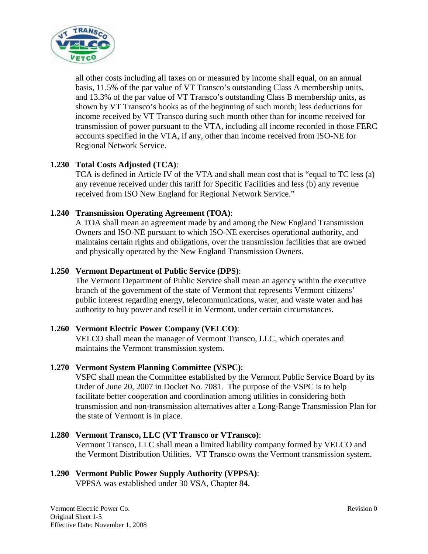

all other costs including all taxes on or measured by income shall equal, on an annual basis, 11.5% of the par value of VT Transco's outstanding Class A membership units, and 13.3% of the par value of VT Transco's outstanding Class B membership units, as shown by VT Transco's books as of the beginning of such month; less deductions for income received by VT Transco during such month other than for income received for transmission of power pursuant to the VTA, including all income recorded in those FERC accounts specified in the VTA, if any, other than income received from ISO-NE for Regional Network Service.

## **1.230 Total Costs Adjusted (TCA)**:

TCA is defined in Article IV of the VTA and shall mean cost that is "equal to TC less (a) any revenue received under this tariff for Specific Facilities and less (b) any revenue received from ISO New England for Regional Network Service."

## **1.240 Transmission Operating Agreement (TOA)**:

A TOA shall mean an agreement made by and among the New England Transmission Owners and ISO-NE pursuant to which ISO-NE exercises operational authority, and maintains certain rights and obligations, over the transmission facilities that are owned and physically operated by the New England Transmission Owners.

## **1.250 Vermont Department of Public Service (DPS)**:

The Vermont Department of Public Service shall mean an agency within the executive branch of the government of the state of Vermont that represents Vermont citizens' public interest regarding energy, telecommunications, water, and waste water and has authority to buy power and resell it in Vermont, under certain circumstances.

## **1.260 Vermont Electric Power Company (VELCO)**:

VELCO shall mean the manager of Vermont Transco, LLC, which operates and maintains the Vermont transmission system.

## **1.270 Vermont System Planning Committee (VSPC)**:

VSPC shall mean the Committee established by the Vermont Public Service Board by its Order of June 20, 2007 in Docket No. 7081. The purpose of the VSPC is to help facilitate better cooperation and coordination among utilities in considering both transmission and non-transmission alternatives after a Long-Range Transmission Plan for the state of Vermont is in place.

#### **1.280 Vermont Transco, LLC (VT Transco or VTransco)**: Vermont Transco, LLC shall mean a limited liability company formed by VELCO and the Vermont Distribution Utilities. VT Transco owns the Vermont transmission system.

## **1.290 Vermont Public Power Supply Authority (VPPSA)**:

VPPSA was established under 30 VSA, Chapter 84.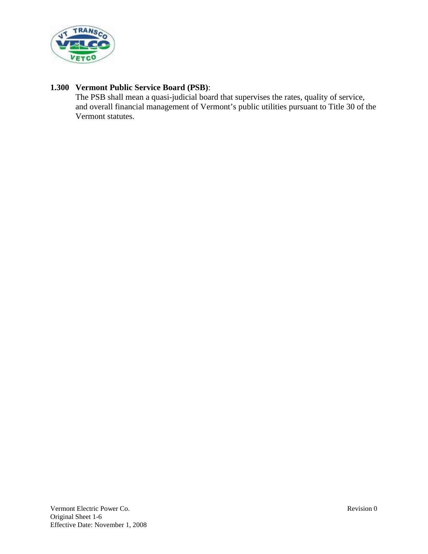

## **1.300 Vermont Public Service Board (PSB)**:

The PSB shall mean a quasi-judicial board that supervises the rates, quality of service, and overall financial management of Vermont's public utilities pursuant to Title 30 of the Vermont statutes.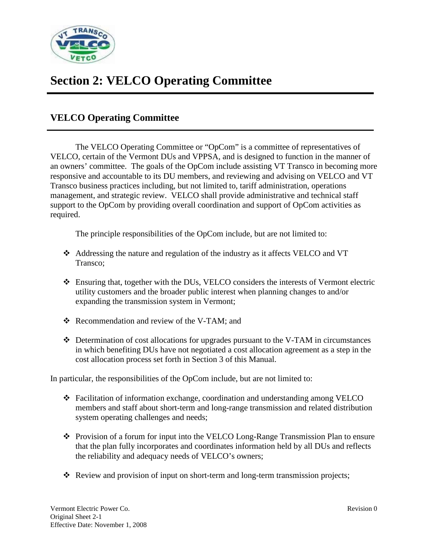

# **Section 2: VELCO Operating Committee**

## **VELCO Operating Committee**

The VELCO Operating Committee or "OpCom" is a committee of representatives of VELCO, certain of the Vermont DUs and VPPSA, and is designed to function in the manner of an owners' committee. The goals of the OpCom include assisting VT Transco in becoming more responsive and accountable to its DU members, and reviewing and advising on VELCO and VT Transco business practices including, but not limited to, tariff administration, operations management, and strategic review. VELCO shall provide administrative and technical staff support to the OpCom by providing overall coordination and support of OpCom activities as required.

The principle responsibilities of the OpCom include, but are not limited to:

- Addressing the nature and regulation of the industry as it affects VELCO and VT Transco;
- Ensuring that, together with the DUs, VELCO considers the interests of Vermont electric utility customers and the broader public interest when planning changes to and/or expanding the transmission system in Vermont;
- Recommendation and review of the V-TAM; and
- Determination of cost allocations for upgrades pursuant to the V-TAM in circumstances in which benefiting DUs have not negotiated a cost allocation agreement as a step in the cost allocation process set forth in Section 3 of this Manual.

In particular, the responsibilities of the OpCom include, but are not limited to:

- Facilitation of information exchange, coordination and understanding among VELCO members and staff about short-term and long-range transmission and related distribution system operating challenges and needs;
- Provision of a forum for input into the VELCO Long-Range Transmission Plan to ensure that the plan fully incorporates and coordinates information held by all DUs and reflects the reliability and adequacy needs of VELCO's owners;
- \* Review and provision of input on short-term and long-term transmission projects;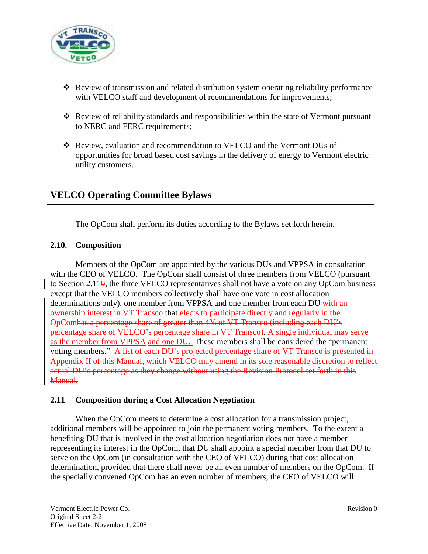

- $\triangle$  Review of transmission and related distribution system operating reliability performance with VELCO staff and development of recommendations for improvements;
- Review of reliability standards and responsibilities within the state of Vermont pursuant to NERC and FERC requirements;
- \* Review, evaluation and recommendation to VELCO and the Vermont DUs of opportunities for broad based cost savings in the delivery of energy to Vermont electric utility customers.

## **VELCO Operating Committee Bylaws**

The OpCom shall perform its duties according to the Bylaws set forth herein.

#### **2.10. Composition**

Members of the OpCom are appointed by the various DUs and VPPSA in consultation with the CEO of VELCO. The OpCom shall consist of three members from VELCO (pursuant to Section 2.11 $\theta$ , the three VELCO representatives shall not have a vote on any OpCom business except that the VELCO members collectively shall have one vote in cost allocation determinations only), one member from VPPSA and one member from each DU with an ownership interest in VT Transco that elects to participate directly and regularly in the OpComhas a percentage share of greater than 4% of VT Transco (including each DU's percentage share of VELCO's percentage share in VT Transco). A single individual may serve as the member from VPPSA and one DU. These members shall be considered the "permanent voting members." A list of each DU's projected percentage share of VT Transco is presented in Appendix II of this Manual, which VELCO may amend in its sole reasonable discretion to reflect actual DU's percentage as they change without using the Revision Protocol set forth in this Manual.

#### **2.11 Composition during a Cost Allocation Negotiation**

When the OpCom meets to determine a cost allocation for a transmission project, additional members will be appointed to join the permanent voting members. To the extent a benefiting DU that is involved in the cost allocation negotiation does not have a member representing its interest in the OpCom, that DU shall appoint a special member from that DU to serve on the OpCom (in consultation with the CEO of VELCO) during that cost allocation determination, provided that there shall never be an even number of members on the OpCom. If the specially convened OpCom has an even number of members, the CEO of VELCO will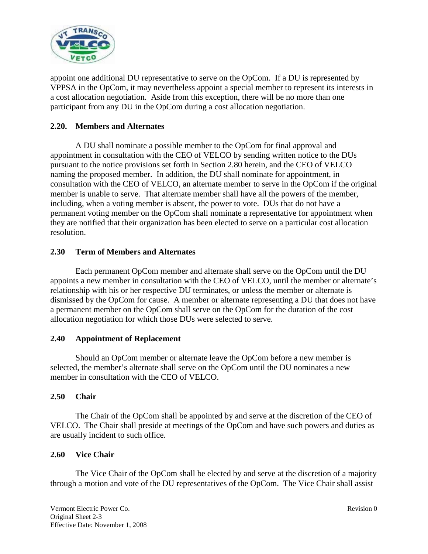

appoint one additional DU representative to serve on the OpCom. If a DU is represented by VPPSA in the OpCom, it may nevertheless appoint a special member to represent its interests in a cost allocation negotiation. Aside from this exception, there will be no more than one participant from any DU in the OpCom during a cost allocation negotiation.

## **2.20. Members and Alternates**

A DU shall nominate a possible member to the OpCom for final approval and appointment in consultation with the CEO of VELCO by sending written notice to the DUs pursuant to the notice provisions set forth in Section 2.80 herein, and the CEO of VELCO naming the proposed member. In addition, the DU shall nominate for appointment, in consultation with the CEO of VELCO, an alternate member to serve in the OpCom if the original member is unable to serve. That alternate member shall have all the powers of the member, including, when a voting member is absent, the power to vote. DUs that do not have a permanent voting member on the OpCom shall nominate a representative for appointment when they are notified that their organization has been elected to serve on a particular cost allocation resolution.

### **2.30 Term of Members and Alternates**

Each permanent OpCom member and alternate shall serve on the OpCom until the DU appoints a new member in consultation with the CEO of VELCO, until the member or alternate's relationship with his or her respective DU terminates, or unless the member or alternate is dismissed by the OpCom for cause. A member or alternate representing a DU that does not have a permanent member on the OpCom shall serve on the OpCom for the duration of the cost allocation negotiation for which those DUs were selected to serve.

#### **2.40 Appointment of Replacement**

Should an OpCom member or alternate leave the OpCom before a new member is selected, the member's alternate shall serve on the OpCom until the DU nominates a new member in consultation with the CEO of VELCO.

#### **2.50 Chair**

The Chair of the OpCom shall be appointed by and serve at the discretion of the CEO of VELCO. The Chair shall preside at meetings of the OpCom and have such powers and duties as are usually incident to such office.

#### **2.60 Vice Chair**

The Vice Chair of the OpCom shall be elected by and serve at the discretion of a majority through a motion and vote of the DU representatives of the OpCom. The Vice Chair shall assist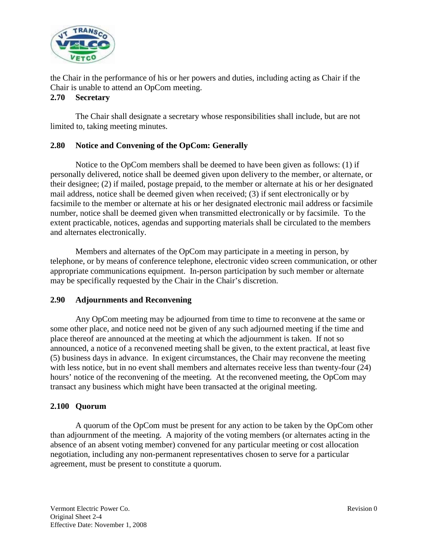

the Chair in the performance of his or her powers and duties, including acting as Chair if the Chair is unable to attend an OpCom meeting.

### **2.70 Secretary**

The Chair shall designate a secretary whose responsibilities shall include, but are not limited to, taking meeting minutes.

## **2.80 Notice and Convening of the OpCom: Generally**

Notice to the OpCom members shall be deemed to have been given as follows: (1) if personally delivered, notice shall be deemed given upon delivery to the member, or alternate, or their designee; (2) if mailed, postage prepaid, to the member or alternate at his or her designated mail address, notice shall be deemed given when received; (3) if sent electronically or by facsimile to the member or alternate at his or her designated electronic mail address or facsimile number, notice shall be deemed given when transmitted electronically or by facsimile. To the extent practicable, notices, agendas and supporting materials shall be circulated to the members and alternates electronically.

Members and alternates of the OpCom may participate in a meeting in person, by telephone, or by means of conference telephone, electronic video screen communication, or other appropriate communications equipment. In-person participation by such member or alternate may be specifically requested by the Chair in the Chair's discretion.

## **2.90 Adjournments and Reconvening**

Any OpCom meeting may be adjourned from time to time to reconvene at the same or some other place, and notice need not be given of any such adjourned meeting if the time and place thereof are announced at the meeting at which the adjournment is taken. If not so announced, a notice of a reconvened meeting shall be given, to the extent practical, at least five (5) business days in advance. In exigent circumstances, the Chair may reconvene the meeting with less notice, but in no event shall members and alternates receive less than twenty-four (24) hours' notice of the reconvening of the meeting. At the reconvened meeting, the OpCom may transact any business which might have been transacted at the original meeting.

## **2.100 Quorum**

A quorum of the OpCom must be present for any action to be taken by the OpCom other than adjournment of the meeting. A majority of the voting members (or alternates acting in the absence of an absent voting member) convened for any particular meeting or cost allocation negotiation, including any non-permanent representatives chosen to serve for a particular agreement, must be present to constitute a quorum.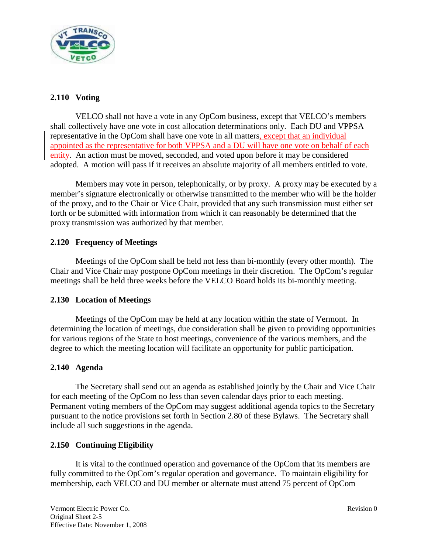

## **2.110 Voting**

VELCO shall not have a vote in any OpCom business, except that VELCO's members shall collectively have one vote in cost allocation determinations only. Each DU and VPPSA representative in the OpCom shall have one vote in all matters, except that an individual appointed as the representative for both VPPSA and a DU will have one vote on behalf of each entity. An action must be moved, seconded, and voted upon before it may be considered adopted. A motion will pass if it receives an absolute majority of all members entitled to vote.

Members may vote in person, telephonically, or by proxy. A proxy may be executed by a member's signature electronically or otherwise transmitted to the member who will be the holder of the proxy, and to the Chair or Vice Chair, provided that any such transmission must either set forth or be submitted with information from which it can reasonably be determined that the proxy transmission was authorized by that member.

## **2.120 Frequency of Meetings**

Meetings of the OpCom shall be held not less than bi-monthly (every other month). The Chair and Vice Chair may postpone OpCom meetings in their discretion. The OpCom's regular meetings shall be held three weeks before the VELCO Board holds its bi-monthly meeting.

## **2.130 Location of Meetings**

Meetings of the OpCom may be held at any location within the state of Vermont. In determining the location of meetings, due consideration shall be given to providing opportunities for various regions of the State to host meetings, convenience of the various members, and the degree to which the meeting location will facilitate an opportunity for public participation.

#### **2.140 Agenda**

The Secretary shall send out an agenda as established jointly by the Chair and Vice Chair for each meeting of the OpCom no less than seven calendar days prior to each meeting. Permanent voting members of the OpCom may suggest additional agenda topics to the Secretary pursuant to the notice provisions set forth in Section 2.80 of these Bylaws. The Secretary shall include all such suggestions in the agenda.

## **2.150 Continuing Eligibility**

It is vital to the continued operation and governance of the OpCom that its members are fully committed to the OpCom's regular operation and governance. To maintain eligibility for membership, each VELCO and DU member or alternate must attend 75 percent of OpCom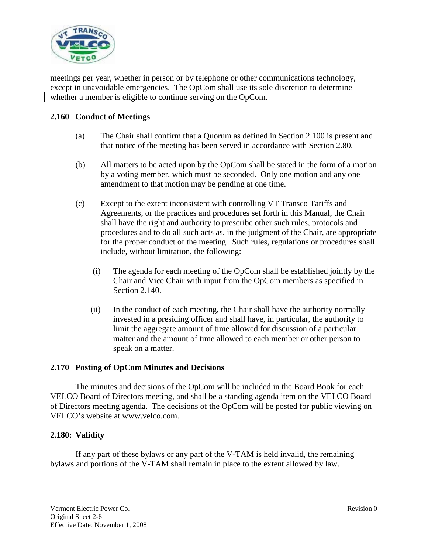

meetings per year, whether in person or by telephone or other communications technology, except in unavoidable emergencies. The OpCom shall use its sole discretion to determine whether a member is eligible to continue serving on the OpCom.

### **2.160 Conduct of Meetings**

- (a) The Chair shall confirm that a Quorum as defined in Section 2.100 is present and that notice of the meeting has been served in accordance with Section 2.80.
- (b) All matters to be acted upon by the OpCom shall be stated in the form of a motion by a voting member, which must be seconded. Only one motion and any one amendment to that motion may be pending at one time.
- (c) Except to the extent inconsistent with controlling VT Transco Tariffs and Agreements, or the practices and procedures set forth in this Manual, the Chair shall have the right and authority to prescribe other such rules, protocols and procedures and to do all such acts as, in the judgment of the Chair, are appropriate for the proper conduct of the meeting. Such rules, regulations or procedures shall include, without limitation, the following:
	- (i) The agenda for each meeting of the OpCom shall be established jointly by the Chair and Vice Chair with input from the OpCom members as specified in Section 2.140.
	- (ii) In the conduct of each meeting, the Chair shall have the authority normally invested in a presiding officer and shall have, in particular, the authority to limit the aggregate amount of time allowed for discussion of a particular matter and the amount of time allowed to each member or other person to speak on a matter.

#### **2.170 Posting of OpCom Minutes and Decisions**

The minutes and decisions of the OpCom will be included in the Board Book for each VELCO Board of Directors meeting, and shall be a standing agenda item on the VELCO Board of Directors meeting agenda. The decisions of the OpCom will be posted for public viewing on VELCO's website at www.velco.com.

#### **2.180: Validity**

If any part of these bylaws or any part of the V-TAM is held invalid, the remaining bylaws and portions of the V-TAM shall remain in place to the extent allowed by law.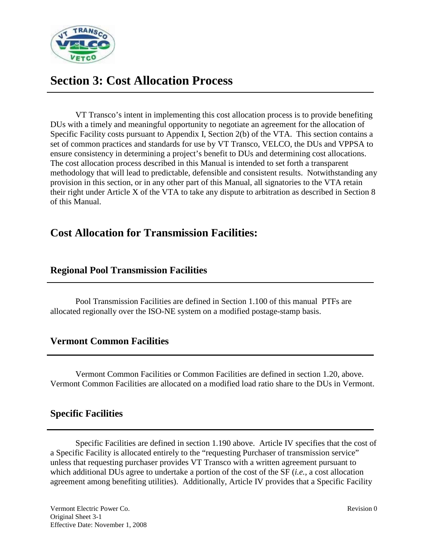

## **Section 3: Cost Allocation Process**

VT Transco's intent in implementing this cost allocation process is to provide benefiting DUs with a timely and meaningful opportunity to negotiate an agreement for the allocation of Specific Facility costs pursuant to Appendix I, Section 2(b) of the VTA. This section contains a set of common practices and standards for use by VT Transco, VELCO, the DUs and VPPSA to ensure consistency in determining a project's benefit to DUs and determining cost allocations. The cost allocation process described in this Manual is intended to set forth a transparent methodology that will lead to predictable, defensible and consistent results. Notwithstanding any provision in this section, or in any other part of this Manual, all signatories to the VTA retain their right under Article X of the VTA to take any dispute to arbitration as described in Section 8 of this Manual.

## **Cost Allocation for Transmission Facilities:**

## **Regional Pool Transmission Facilities**

Pool Transmission Facilities are defined in Section 1.100 of this manual PTFs are allocated regionally over the ISO-NE system on a modified postage-stamp basis.

## **Vermont Common Facilities**

Vermont Common Facilities or Common Facilities are defined in section 1.20, above. Vermont Common Facilities are allocated on a modified load ratio share to the DUs in Vermont.

## **Specific Facilities**

Specific Facilities are defined in section 1.190 above. Article IV specifies that the cost of a Specific Facility is allocated entirely to the "requesting Purchaser of transmission service" unless that requesting purchaser provides VT Transco with a written agreement pursuant to which additional DUs agree to undertake a portion of the cost of the SF (*i.e.*, a cost allocation agreement among benefiting utilities). Additionally, Article IV provides that a Specific Facility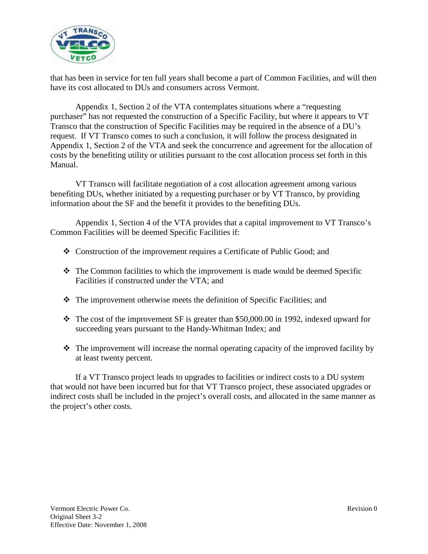

that has been in service for ten full years shall become a part of Common Facilities, and will then have its cost allocated to DUs and consumers across Vermont.

Appendix 1, Section 2 of the VTA contemplates situations where a "requesting purchaser" has not requested the construction of a Specific Facility, but where it appears to VT Transco that the construction of Specific Facilities may be required in the absence of a DU's request. If VT Transco comes to such a conclusion, it will follow the process designated in Appendix 1, Section 2 of the VTA and seek the concurrence and agreement for the allocation of costs by the benefiting utility or utilities pursuant to the cost allocation process set forth in this Manual.

VT Transco will facilitate negotiation of a cost allocation agreement among various benefiting DUs, whether initiated by a requesting purchaser or by VT Transco, by providing information about the SF and the benefit it provides to the benefiting DUs.

Appendix 1, Section 4 of the VTA provides that a capital improvement to VT Transco's Common Facilities will be deemed Specific Facilities if:

- Construction of the improvement requires a Certificate of Public Good; and
- $\div$  The Common facilities to which the improvement is made would be deemed Specific Facilities if constructed under the VTA; and
- $\hat{\cdot}$  The improvement otherwise meets the definition of Specific Facilities; and
- $\cdot \cdot$  The cost of the improvement SF is greater than \$50,000.00 in 1992, indexed upward for succeeding years pursuant to the Handy-Whitman Index; and
- $\hat{\mathbf{v}}$  The improvement will increase the normal operating capacity of the improved facility by at least twenty percent.

If a VT Transco project leads to upgrades to facilities or indirect costs to a DU system that would not have been incurred but for that VT Transco project, these associated upgrades or indirect costs shall be included in the project's overall costs, and allocated in the same manner as the project's other costs.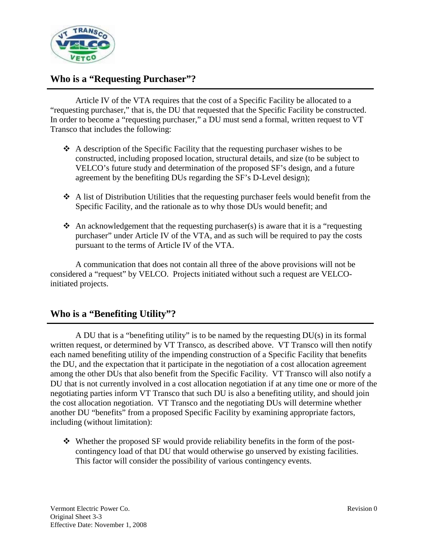

## **Who is a "Requesting Purchaser"?**

Article IV of the VTA requires that the cost of a Specific Facility be allocated to a "requesting purchaser," that is, the DU that requested that the Specific Facility be constructed. In order to become a "requesting purchaser," a DU must send a formal, written request to VT Transco that includes the following:

- $\triangle$  A description of the Specific Facility that the requesting purchaser wishes to be constructed, including proposed location, structural details, and size (to be subject to VELCO's future study and determination of the proposed SF's design, and a future agreement by the benefiting DUs regarding the SF's D-Level design);
- $\triangle$  A list of Distribution Utilities that the requesting purchaser feels would benefit from the Specific Facility, and the rationale as to why those DUs would benefit; and
- $\triangleleft$  An acknowledgement that the requesting purchaser(s) is aware that it is a "requesting purchaser" under Article IV of the VTA, and as such will be required to pay the costs pursuant to the terms of Article IV of the VTA.

A communication that does not contain all three of the above provisions will not be considered a "request" by VELCO. Projects initiated without such a request are VELCOinitiated projects.

## **Who is a "Benefiting Utility"?**

A DU that is a "benefiting utility" is to be named by the requesting DU(s) in its formal written request, or determined by VT Transco, as described above. VT Transco will then notify each named benefiting utility of the impending construction of a Specific Facility that benefits the DU, and the expectation that it participate in the negotiation of a cost allocation agreement among the other DUs that also benefit from the Specific Facility. VT Transco will also notify a DU that is not currently involved in a cost allocation negotiation if at any time one or more of the negotiating parties inform VT Transco that such DU is also a benefiting utility, and should join the cost allocation negotiation. VT Transco and the negotiating DUs will determine whether another DU "benefits" from a proposed Specific Facility by examining appropriate factors, including (without limitation):

 $\div$  Whether the proposed SF would provide reliability benefits in the form of the postcontingency load of that DU that would otherwise go unserved by existing facilities. This factor will consider the possibility of various contingency events.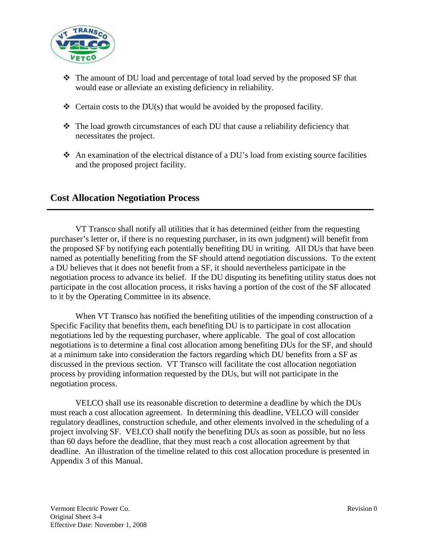

- $\div$  The amount of DU load and percentage of total load served by the proposed SF that would ease or alleviate an existing deficiency in reliability.
- $\div$  Certain costs to the DU(s) that would be avoided by the proposed facility.
- The load growth circumstances of each DU that cause a reliability deficiency that necessitates the project.
- An examination of the electrical distance of a DU's load from existing source facilities and the proposed project facility.

## **Cost Allocation Negotiation Process**

VT Transco shall notify all utilities that it has determined (either from the requesting purchaser's letter or, if there is no requesting purchaser, in its own judgment) will benefit from the proposed SF by notifying each potentially benefiting DU in writing. All DUs that have been named as potentially benefiting from the SF should attend negotiation discussions. To the extent a DU believes that it does not benefit from a SF, it should nevertheless participate in the negotiation process to advance its belief. If the DU disputing its benefiting utility status does not participate in the cost allocation process, it risks having a portion of the cost of the SF allocated to it by the Operating Committee in its absence.

When VT Transco has notified the benefiting utilities of the impending construction of a Specific Facility that benefits them, each benefiting DU is to participate in cost allocation negotiations led by the requesting purchaser, where applicable. The goal of cost allocation negotiations is to determine a final cost allocation among benefiting DUs for the SF, and should at a minimum take into consideration the factors regarding which DU benefits from a SF as discussed in the previous section. VT Transco will facilitate the cost allocation negotiation process by providing information requested by the DUs, but will not participate in the negotiation process.

VELCO shall use its reasonable discretion to determine a deadline by which the DUs must reach a cost allocation agreement. In determining this deadline, VELCO will consider regulatory deadlines, construction schedule, and other elements involved in the scheduling of a project involving SF. VELCO shall notify the benefiting DUs as soon as possible, but no less than 60 days before the deadline, that they must reach a cost allocation agreement by that deadline. An illustration of the timeline related to this cost allocation procedure is presented in Appendix 3 of this Manual.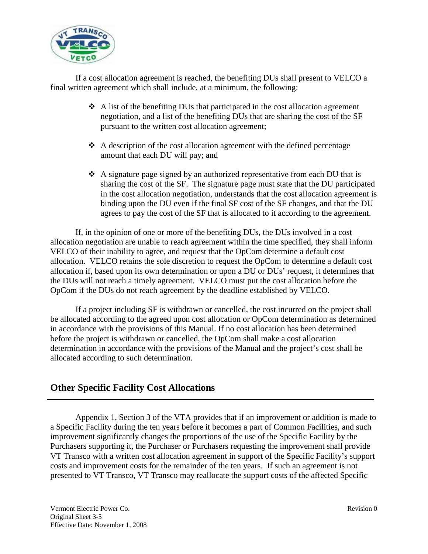

If a cost allocation agreement is reached, the benefiting DUs shall present to VELCO a final written agreement which shall include, at a minimum, the following:

- $\triangle$  A list of the benefiting DUs that participated in the cost allocation agreement negotiation, and a list of the benefiting DUs that are sharing the cost of the SF pursuant to the written cost allocation agreement;
- $\triangle$  A description of the cost allocation agreement with the defined percentage amount that each DU will pay; and
- $\triangle$  A signature page signed by an authorized representative from each DU that is sharing the cost of the SF. The signature page must state that the DU participated in the cost allocation negotiation, understands that the cost allocation agreement is binding upon the DU even if the final SF cost of the SF changes, and that the DU agrees to pay the cost of the SF that is allocated to it according to the agreement.

If, in the opinion of one or more of the benefiting DUs, the DUs involved in a cost allocation negotiation are unable to reach agreement within the time specified, they shall inform VELCO of their inability to agree, and request that the OpCom determine a default cost allocation. VELCO retains the sole discretion to request the OpCom to determine a default cost allocation if, based upon its own determination or upon a DU or DUs' request, it determines that the DUs will not reach a timely agreement. VELCO must put the cost allocation before the OpCom if the DUs do not reach agreement by the deadline established by VELCO.

If a project including SF is withdrawn or cancelled, the cost incurred on the project shall be allocated according to the agreed upon cost allocation or OpCom determination as determined in accordance with the provisions of this Manual. If no cost allocation has been determined before the project is withdrawn or cancelled, the OpCom shall make a cost allocation determination in accordance with the provisions of the Manual and the project's cost shall be allocated according to such determination.

## **Other Specific Facility Cost Allocations**

Appendix 1, Section 3 of the VTA provides that if an improvement or addition is made to a Specific Facility during the ten years before it becomes a part of Common Facilities, and such improvement significantly changes the proportions of the use of the Specific Facility by the Purchasers supporting it, the Purchaser or Purchasers requesting the improvement shall provide VT Transco with a written cost allocation agreement in support of the Specific Facility's support costs and improvement costs for the remainder of the ten years. If such an agreement is not presented to VT Transco, VT Transco may reallocate the support costs of the affected Specific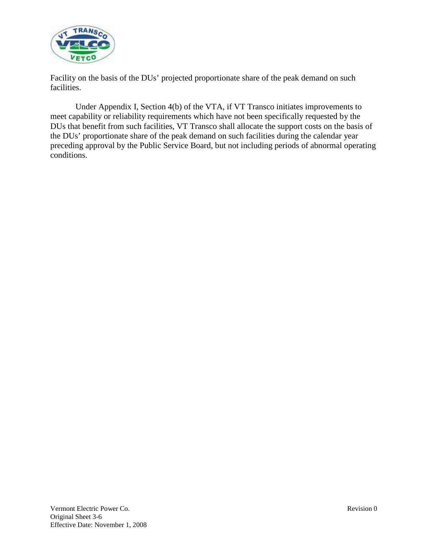

Facility on the basis of the DUs' projected proportionate share of the peak demand on such facilities.

Under Appendix I, Section 4(b) of the VTA, if VT Transco initiates improvements to meet capability or reliability requirements which have not been specifically requested by the DUs that benefit from such facilities, VT Transco shall allocate the support costs on the basis of the DUs' proportionate share of the peak demand on such facilities during the calendar year preceding approval by the Public Service Board, but not including periods of abnormal operating conditions.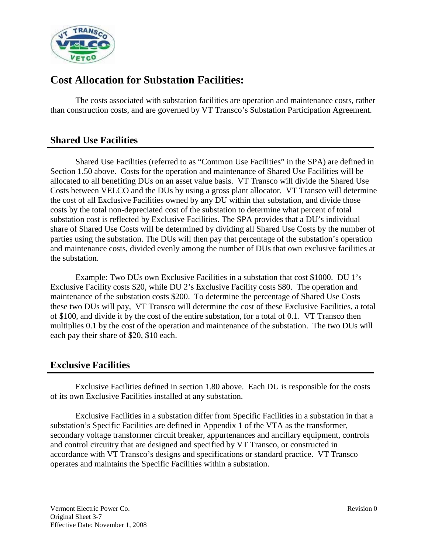

## **Cost Allocation for Substation Facilities:**

The costs associated with substation facilities are operation and maintenance costs, rather than construction costs, and are governed by VT Transco's Substation Participation Agreement.

## **Shared Use Facilities**

Shared Use Facilities (referred to as "Common Use Facilities" in the SPA) are defined in Section 1.50 above. Costs for the operation and maintenance of Shared Use Facilities will be allocated to all benefiting DUs on an asset value basis. VT Transco will divide the Shared Use Costs between VELCO and the DUs by using a gross plant allocator. VT Transco will determine the cost of all Exclusive Facilities owned by any DU within that substation, and divide those costs by the total non-depreciated cost of the substation to determine what percent of total substation cost is reflected by Exclusive Facilities. The SPA provides that a DU's individual share of Shared Use Costs will be determined by dividing all Shared Use Costs by the number of parties using the substation. The DUs will then pay that percentage of the substation's operation and maintenance costs, divided evenly among the number of DUs that own exclusive facilities at the substation.

Example: Two DUs own Exclusive Facilities in a substation that cost \$1000. DU 1's Exclusive Facility costs \$20, while DU 2's Exclusive Facility costs \$80. The operation and maintenance of the substation costs \$200. To determine the percentage of Shared Use Costs these two DUs will pay, VT Transco will determine the cost of these Exclusive Facilities, a total of \$100, and divide it by the cost of the entire substation, for a total of 0.1. VT Transco then multiplies 0.1 by the cost of the operation and maintenance of the substation. The two DUs will each pay their share of \$20, \$10 each.

## **Exclusive Facilities**

Exclusive Facilities defined in section 1.80 above. Each DU is responsible for the costs of its own Exclusive Facilities installed at any substation.

Exclusive Facilities in a substation differ from Specific Facilities in a substation in that a substation's Specific Facilities are defined in Appendix 1 of the VTA as the transformer, secondary voltage transformer circuit breaker, appurtenances and ancillary equipment, controls and control circuitry that are designed and specified by VT Transco, or constructed in accordance with VT Transco's designs and specifications or standard practice. VT Transco operates and maintains the Specific Facilities within a substation.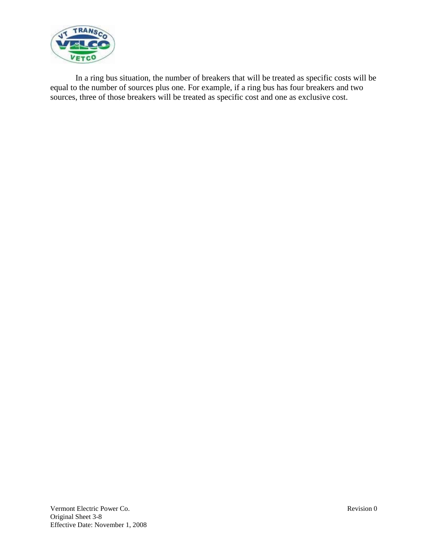

In a ring bus situation, the number of breakers that will be treated as specific costs will be equal to the number of sources plus one. For example, if a ring bus has four breakers and two sources, three of those breakers will be treated as specific cost and one as exclusive cost.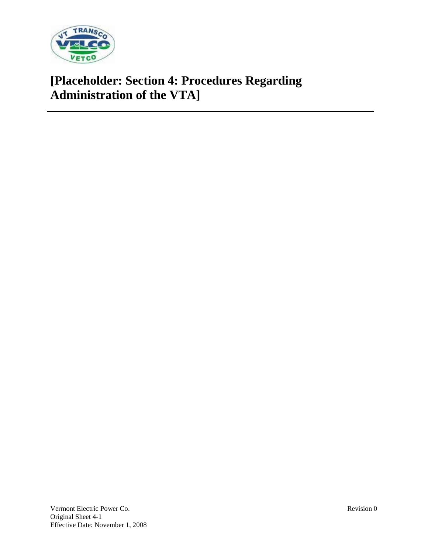

# **[Placeholder: Section 4: Procedures Regarding Administration of the VTA]**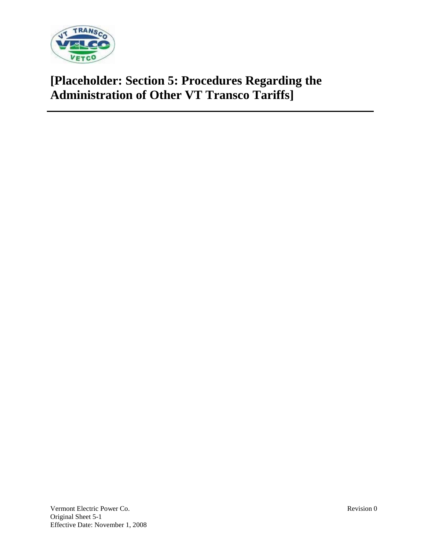

# **[Placeholder: Section 5: Procedures Regarding the Administration of Other VT Transco Tariffs]**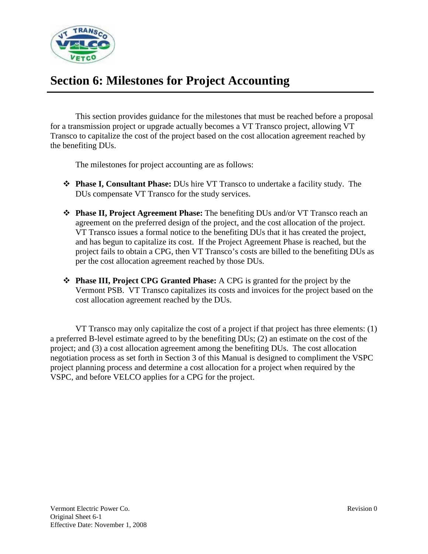

# **Section 6: Milestones for Project Accounting**

This section provides guidance for the milestones that must be reached before a proposal for a transmission project or upgrade actually becomes a VT Transco project, allowing VT Transco to capitalize the cost of the project based on the cost allocation agreement reached by the benefiting DUs.

The milestones for project accounting are as follows:

- **Phase I, Consultant Phase:** DUs hire VT Transco to undertake a facility study. The DUs compensate VT Transco for the study services.
- **Phase II, Project Agreement Phase:** The benefiting DUs and/or VT Transco reach an agreement on the preferred design of the project, and the cost allocation of the project. VT Transco issues a formal notice to the benefiting DUs that it has created the project, and has begun to capitalize its cost. If the Project Agreement Phase is reached, but the project fails to obtain a CPG, then VT Transco's costs are billed to the benefiting DUs as per the cost allocation agreement reached by those DUs.
- **Phase III, Project CPG Granted Phase:** A CPG is granted for the project by the Vermont PSB. VT Transco capitalizes its costs and invoices for the project based on the cost allocation agreement reached by the DUs.

VT Transco may only capitalize the cost of a project if that project has three elements: (1) a preferred B-level estimate agreed to by the benefiting DUs; (2) an estimate on the cost of the project; and (3) a cost allocation agreement among the benefiting DUs. The cost allocation negotiation process as set forth in Section 3 of this Manual is designed to compliment the VSPC project planning process and determine a cost allocation for a project when required by the VSPC, and before VELCO applies for a CPG for the project.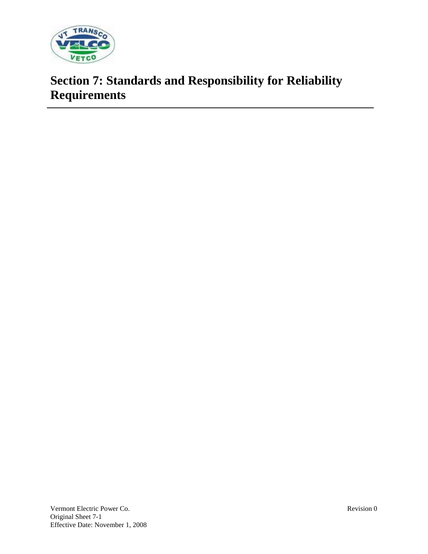

# **Section 7: Standards and Responsibility for Reliability Requirements**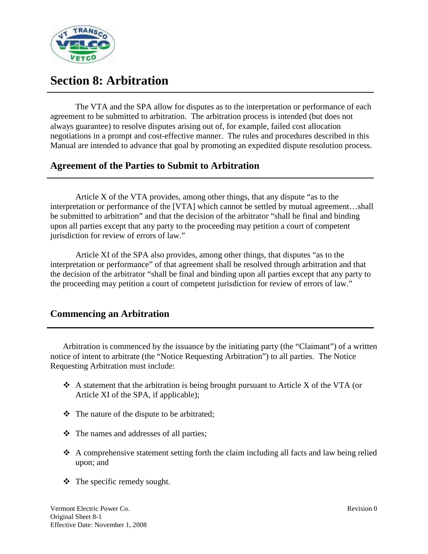

# **Section 8: Arbitration**

The VTA and the SPA allow for disputes as to the interpretation or performance of each agreement to be submitted to arbitration. The arbitration process is intended (but does not always guarantee) to resolve disputes arising out of, for example, failed cost allocation negotiations in a prompt and cost-effective manner. The rules and procedures described in this Manual are intended to advance that goal by promoting an expedited dispute resolution process.

## **Agreement of the Parties to Submit to Arbitration**

Article X of the VTA provides, among other things, that any dispute "as to the interpretation or performance of the [VTA] which cannot be settled by mutual agreement…shall be submitted to arbitration" and that the decision of the arbitrator "shall be final and binding upon all parties except that any party to the proceeding may petition a court of competent jurisdiction for review of errors of law."

Article XI of the SPA also provides, among other things, that disputes "as to the interpretation or performance" of that agreement shall be resolved through arbitration and that the decision of the arbitrator "shall be final and binding upon all parties except that any party to the proceeding may petition a court of competent jurisdiction for review of errors of law."

## **Commencing an Arbitration**

Arbitration is commenced by the issuance by the initiating party (the "Claimant") of a written notice of intent to arbitrate (the "Notice Requesting Arbitration") to all parties. The Notice Requesting Arbitration must include:

- $\triangle$  A statement that the arbitration is being brought pursuant to Article X of the VTA (or Article XI of the SPA, if applicable);
- $\triangleleft$  The nature of the dispute to be arbitrated;
- The names and addresses of all parties;
- $\triangle$  A comprehensive statement setting forth the claim including all facts and law being relied upon; and
- The specific remedy sought.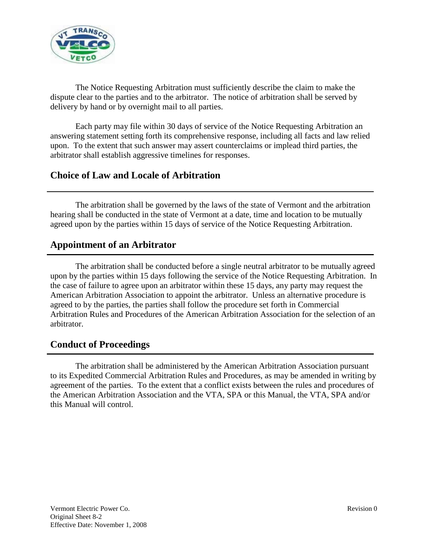

The Notice Requesting Arbitration must sufficiently describe the claim to make the dispute clear to the parties and to the arbitrator. The notice of arbitration shall be served by delivery by hand or by overnight mail to all parties.

Each party may file within 30 days of service of the Notice Requesting Arbitration an answering statement setting forth its comprehensive response, including all facts and law relied upon. To the extent that such answer may assert counterclaims or implead third parties, the arbitrator shall establish aggressive timelines for responses.

## **Choice of Law and Locale of Arbitration**

The arbitration shall be governed by the laws of the state of Vermont and the arbitration hearing shall be conducted in the state of Vermont at a date, time and location to be mutually agreed upon by the parties within 15 days of service of the Notice Requesting Arbitration.

## **Appointment of an Arbitrator**

The arbitration shall be conducted before a single neutral arbitrator to be mutually agreed upon by the parties within 15 days following the service of the Notice Requesting Arbitration. In the case of failure to agree upon an arbitrator within these 15 days, any party may request the American Arbitration Association to appoint the arbitrator. Unless an alternative procedure is agreed to by the parties, the parties shall follow the procedure set forth in Commercial Arbitration Rules and Procedures of the American Arbitration Association for the selection of an arbitrator.

## **Conduct of Proceedings**

The arbitration shall be administered by the American Arbitration Association pursuant to its Expedited Commercial Arbitration Rules and Procedures, as may be amended in writing by agreement of the parties. To the extent that a conflict exists between the rules and procedures of the American Arbitration Association and the VTA, SPA or this Manual, the VTA, SPA and/or this Manual will control.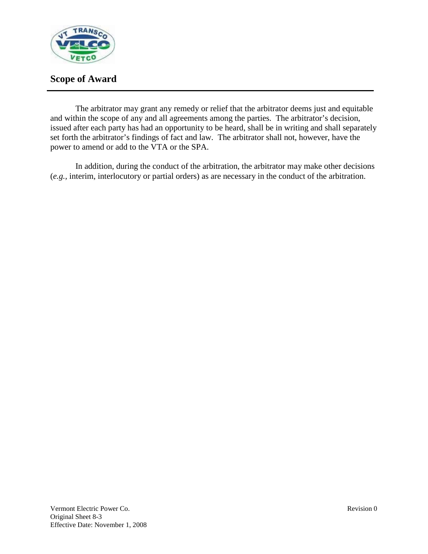

## **Scope of Award**

The arbitrator may grant any remedy or relief that the arbitrator deems just and equitable and within the scope of any and all agreements among the parties. The arbitrator's decision, issued after each party has had an opportunity to be heard, shall be in writing and shall separately set forth the arbitrator's findings of fact and law. The arbitrator shall not, however, have the power to amend or add to the VTA or the SPA.

In addition, during the conduct of the arbitration, the arbitrator may make other decisions (*e.g.,* interim, interlocutory or partial orders) as are necessary in the conduct of the arbitration.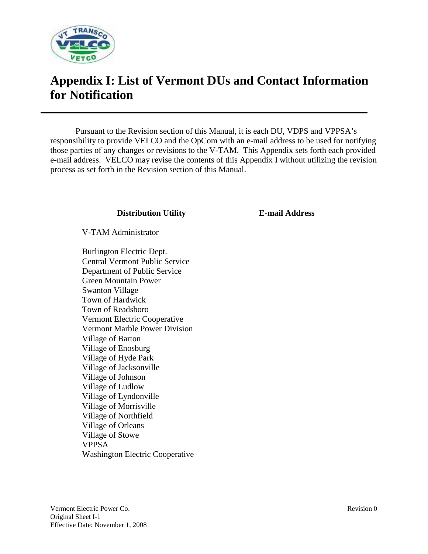

# **Appendix I: List of Vermont DUs and Contact Information for Notification**

Pursuant to the Revision section of this Manual, it is each DU, VDPS and VPPSA's responsibility to provide VELCO and the OpCom with an e-mail address to be used for notifying those parties of any changes or revisions to the V-TAM. This Appendix sets forth each provided e-mail address. VELCO may revise the contents of this Appendix I without utilizing the revision process as set forth in the Revision section of this Manual.

### **Distribution Utility E-mail Address**

V-TAM Administrator

Burlington Electric Dept. Central Vermont Public Service Department of Public Service Green Mountain Power Swanton Village Town of Hardwick Town of Readsboro Vermont Electric Cooperative Vermont Marble Power Division Village of Barton Village of Enosburg Village of Hyde Park Village of Jacksonville Village of Johnson Village of Ludlow Village of Lyndonville Village of Morrisville Village of Northfield Village of Orleans Village of Stowe VPPSA Washington Electric Cooperative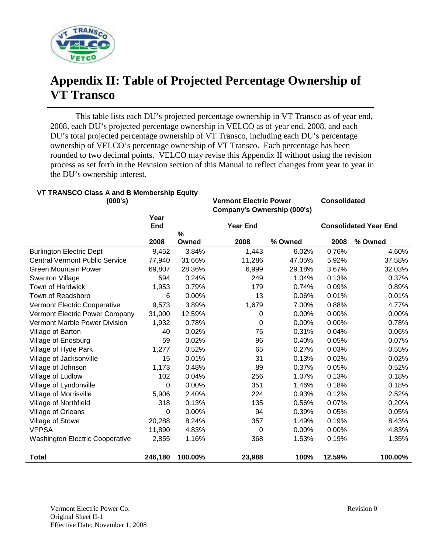

# **Appendix II: Table of Projected Percentage Ownership of VT Transco**

This table lists each DU's projected percentage ownership in VT Transco as of year end, 2008, each DU's projected percentage ownership in VELCO as of year end, 2008, and each DU's total projected percentage ownership of VT Transco, including each DU's percentage ownership of VELCO's percentage ownership of VT Transco. Each percentage has been rounded to two decimal points. VELCO may revise this Appendix II without using the revision process as set forth in the Revision section of this Manual to reflect changes from year to year in the DU's ownership interest.

## **VT TRANSCO Class A and B Membership Equity**

**(000's) Vermont Electric Power Consolidated Company's Ownership (000's) Year End Year End Consolidated Year End 2008 % Owned 2008 % Owned 2008 % Owned** Burlington Electric Dept 9,452 3.84% 1,443 6.02% 0.76% 4.60% Central Vermont Public Service 77,940 31.66% 11,286 47.05% 5.92% 37.58% Green Mountain Power 69,807 28.36% 6,999 29.18% 3.67% 32.03% Swanton Village  $594$  0.24% 249 1.04% 0.13% 0.37% Town of Hardwick 1,953 0.79% 179 0.74% 0.09% 0.89% Town of Readsboro 6 0.00% 13 0.06% 0.01% 0.01% Vermont Electric Cooperative 9,573 3.89% 1,679 7.00% 0.88% 4.77% Vermont Electric Power Company 31,000 12.59% 0 0.00% 0.00% 0.00% Vermont Marble Power Division 1,932 0.78% 0 0.00% 0.00% 0.78% Village of Barton 40 0.02% 75 0.31% 0.04% 0.06% Village of Enosburg 59 0.02% 96 0.40% 0.05% 0.07% Village of Hyde Park **1,277** 0.52% 65 0.27% 0.03% 0.55% Village of Jacksonville 15 0.01% 31 0.13% 0.02% 0.02% Village of Johnson **1,173** 0.48% 89 0.37% 0.05% 0.52% Village of Ludlow 102 0.04% 256 1.07% 0.13% 0.18% Village of Lyndonville 0 0.00% 351 1.46% 0.18% 0.18% Village of Morrisville 5,906 2.40% 224 0.93% 0.12% 2.52% Village of Northfield 318 0.13% 135 0.56% 0.07% 0.20% Village of Orleans 0 0.00% 94 0.39% 0.05% 0.05% Village of Stowe 20,288 8.24% 357 1.49% 0.19% 8.43% VPPSA 11,890 4.83% 0 0.00% 0.00% 4.83% Washington Electric Cooperative  $2,855$  1.16% 368 1.53% 0.19% 1.35% **Total 246,180 100.00% 23,988 100% 12.59% 100.00%**